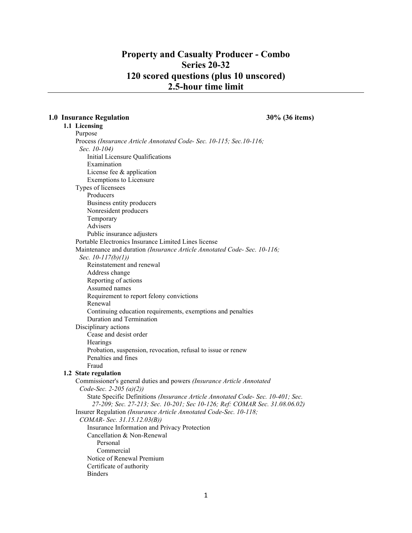# Property and Casualty Producer - Combo Series 20-32 120 scored questions (plus 10 unscored) 2.5-hour time limit

#### 1.0 Insurance Regulation 30% (36 items)

# 1.1 Licensing

Purpose Process (Insurance Article Annotated Code- Sec. 10-115; Sec.10-116; Sec. 10-104) Initial Licensure Qualifications Examination License fee & application Exemptions to Licensure Types of licensees Producers Business entity producers Nonresident producers Temporary Advisers Public insurance adjusters Portable Electronics Insurance Limited Lines license Maintenance and duration (Insurance Article Annotated Code- Sec. 10-116; Sec. 10-117(b)(1)) Reinstatement and renewal Address change Reporting of actions Assumed names Requirement to report felony convictions Renewal Continuing education requirements, exemptions and penalties Duration and Termination Disciplinary actions Cease and desist order **Hearings** Probation, suspension, revocation, refusal to issue or renew Penalties and fines Fraud 1.2 State regulation Commissioner's general duties and powers (Insurance Article Annotated Code-Sec. 2-205 (a)(2)) State Specific Definitions (Insurance Article Annotated Code- Sec. 10-401; Sec. 27-209; Sec. 27-213; Sec. 10-201; Sec 10-126; Ref: COMAR Sec. 31.08.06.02) Insurer Regulation (Insurance Article Annotated Code-Sec. 10-118; COMAR- Sec. 31.15.12.03(B)) Insurance Information and Privacy Protection Cancellation & Non-Renewal Personal Commercial Notice of Renewal Premium Certificate of authority Binders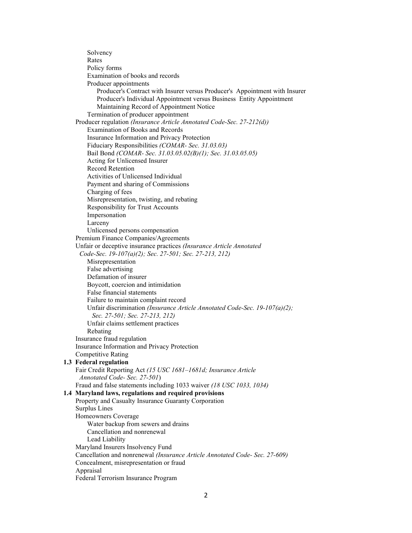Solvency Rates Policy forms Examination of books and records Producer appointments Producer's Contract with Insurer versus Producer's Appointment with Insurer Producer's Individual Appointment versus Business Entity Appointment Maintaining Record of Appointment Notice Termination of producer appointment Producer regulation (Insurance Article Annotated Code-Sec. 27-212(d)) Examination of Books and Records Insurance Information and Privacy Protection Fiduciary Responsibilities (COMAR- Sec. 31.03.03) Bail Bond (COMAR- Sec. 31.03.05.02(B)(1); Sec. 31.03.05.05) Acting for Unlicensed Insurer Record Retention Activities of Unlicensed Individual Payment and sharing of Commissions Charging of fees Misrepresentation, twisting, and rebating Responsibility for Trust Accounts Impersonation Larceny Unlicensed persons compensation Premium Finance Companies/Agreements Unfair or deceptive insurance practices (Insurance Article Annotated Code-Sec. 19-107(a)(2); Sec. 27-501; Sec. 27-213, 212) Misrepresentation False advertising Defamation of insurer Boycott, coercion and intimidation False financial statements Failure to maintain complaint record Unfair discrimination (Insurance Article Annotated Code-Sec. 19-107(a)(2); Sec. 27-501; Sec. 27-213, 212) Unfair claims settlement practices Rebating Insurance fraud regulation Insurance Information and Privacy Protection Competitive Rating 1.3 Federal regulation Fair Credit Reporting Act (15 USC 1681–1681d; Insurance Article Annotated Code- Sec. 27-501) Fraud and false statements including 1033 waiver (18 USC 1033, 1034) 1.4 Maryland laws, regulations and required provisions Property and Casualty Insurance Guaranty Corporation Surplus Lines Homeowners Coverage Water backup from sewers and drains Cancellation and nonrenewal Lead Liability Maryland Insurers Insolvency Fund Cancellation and nonrenewal (Insurance Article Annotated Code- Sec. 27-609) Concealment, misrepresentation or fraud Appraisal Federal Terrorism Insurance Program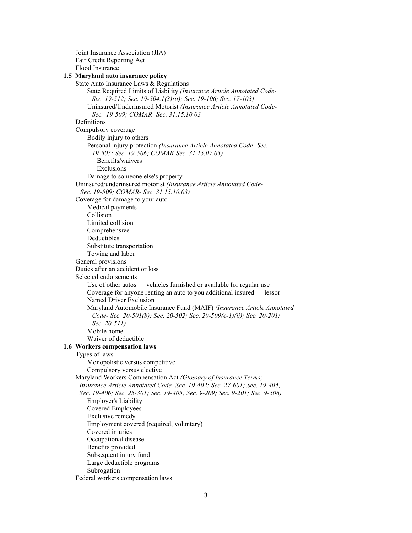Joint Insurance Association (JIA) Fair Credit Reporting Act Flood Insurance 1.5 Maryland auto insurance policy State Auto Insurance Laws & Regulations State Required Limits of Liability (Insurance Article Annotated Code- Sec. 19-512; Sec. 19-504.1(3)(ii); Sec. 19-106; Sec. 17-103) Uninsured/Underinsured Motorist (Insurance Article Annotated Code- Sec. 19-509; COMAR- Sec. 31.15.10.03 Definitions Compulsory coverage Bodily injury to others Personal injury protection (Insurance Article Annotated Code- Sec. 19-505; Sec. 19-506; COMAR-Sec. 31.15.07.05) Benefits/waivers Exclusions Damage to someone else's property Uninsured/underinsured motorist (Insurance Article Annotated Code- Sec. 19-509; COMAR- Sec. 31.15.10.03) Coverage for damage to your auto Medical payments Collision Limited collision Comprehensive Deductibles Substitute transportation Towing and labor General provisions Duties after an accident or loss Selected endorsements Use of other autos — vehicles furnished or available for regular use Coverage for anyone renting an auto to you additional insured — lessor Named Driver Exclusion Maryland Automobile Insurance Fund (MAIF) (Insurance Article Annotated Code- Sec. 20-501(b); Sec. 20-502; Sec. 20-509(e-1)(ii); Sec. 20-201; Sec. 20-511) Mobile home Waiver of deductible 1.6 Workers compensation laws Types of laws Monopolistic versus competitive Compulsory versus elective Maryland Workers Compensation Act (Glossary of Insurance Terms; Insurance Article Annotated Code- Sec. 19-402; Sec. 27-601; Sec. 19-404; Sec. 19-406; Sec. 25-301; Sec. 19-405; Sec. 9-209; Sec. 9-201; Sec. 9-506) Employer's Liability Covered Employees Exclusive remedy Employment covered (required, voluntary) Covered injuries Occupational disease Benefits provided Subsequent injury fund Large deductible programs Subrogation Federal workers compensation laws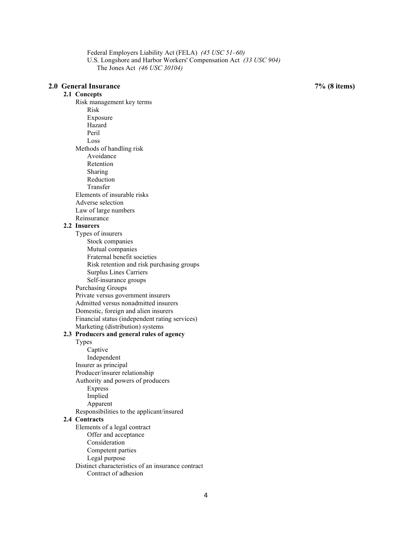Federal Employers Liability Act (FELA) (45 USC 51–60) U.S. Longshore and Harbor Workers' Compensation Act (33 USC 904) The Jones Act (46 USC 30104)

#### 2.0 General Insurance 7% (8 items)

2.1 Concepts

Risk management key terms Risk Exposure Hazard Peril Loss Methods of handling risk Avoidance Retention Sharing Reduction Transfer Elements of insurable risks Adverse selection Law of large numbers Reinsurance

#### 2.2 Insurers

Types of insurers Stock companies Mutual companies Fraternal benefit societies Risk retention and risk purchasing groups Surplus Lines Carriers Self-insurance groups Purchasing Groups Private versus government insurers Admitted versus nonadmitted insurers Domestic, foreign and alien insurers Financial status (independent rating services) Marketing (distribution) systems 2.3 Producers and general rules of agency Types Captive Independent Insurer as principal Producer/insurer relationship Authority and powers of producers Express Implied Apparent Responsibilities to the applicant/insured

#### 2.4 Contracts

Elements of a legal contract Offer and acceptance Consideration Competent parties Legal purpose Distinct characteristics of an insurance contract

Contract of adhesion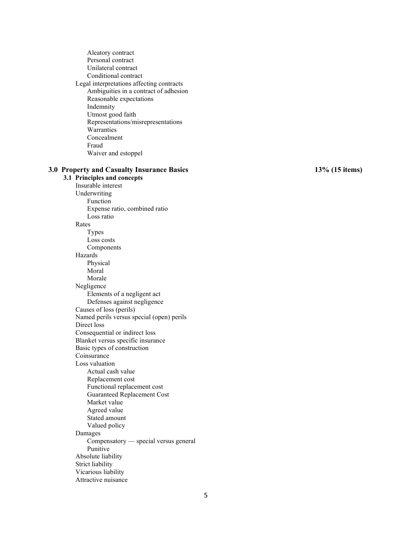Aleatory contract Personal contract Unilateral contract Conditional contract Legal interpretations affecting contracts Ambiguities in a contract of adhesion Reasonable expectations Indemnity Utmost good faith Representations/misrepresentations Warranties Concealment Fraud Waiver and estoppel 3.0 Property and Casualty Insurance Basics 13% (15 items) 3.1 Principles and concepts Insurable interest Underwriting Function Expense ratio, combined ratio Loss ratio Rates Types Loss costs Components Hazards Physical Moral Morale Negligence Elements of a negligent act Defenses against negligence Causes of loss (perils) Named perils versus special (open) perils Direct loss Consequential or indirect loss Blanket versus specific insurance Basic types of construction Coinsurance Loss valuation Actual cash value Replacement cost Functional replacement cost Guaranteed Replacement Cost Market value Agreed value Stated amount Valued policy Damages Compensatory — special versus general Punitive Absolute liability Strict liability Vicarious liability Attractive nuisance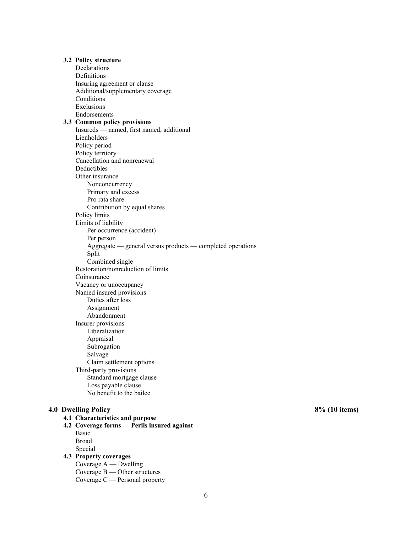3.2 Policy structure Declarations Definitions Insuring agreement or clause Additional/supplementary coverage Conditions Exclusions Endorsements 3.3 Common policy provisions Insureds — named, first named, additional Lienholders Policy period Policy territory Cancellation and nonrenewal Deductibles Other insurance Nonconcurrency Primary and excess Pro rata share Contribution by equal shares Policy limits Limits of liability Per occurrence (accident) Per person Aggregate — general versus products — completed operations Split Combined single Restoration/nonreduction of limits Coinsurance Vacancy or unoccupancy Named insured provisions Duties after loss Assignment Abandonment Insurer provisions Liberalization Appraisal Subrogation Salvage Claim settlement options Third-party provisions Standard mortgage clause Loss payable clause No benefit to the bailee 4.0 Dwelling Policy 8% (10 items) 4.1 Characteristics and purpose 4.2 Coverage forms — Perils insured against Basic Broad Special 4.3 Property coverages Coverage A — Dwelling Coverage B — Other structures Coverage C — Personal property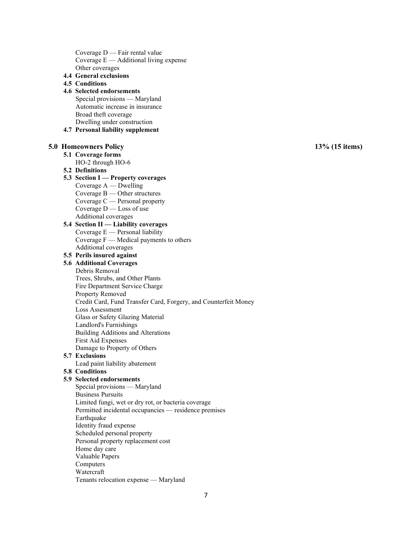Coverage D — Fair rental value Coverage  $E -$  Additional living expense Other coverages

4.4 General exclusions

## 4.5 Conditions

# 4.6 Selected endorsements

Special provisions — Maryland Automatic increase in insurance Broad theft coverage Dwelling under construction

4.7 Personal liability supplement

#### 5.0 Homeowners Policy 13% (15 items)

5.1 Coverage forms

HO-2 through HO-6

#### 5.2 Definitions

## 5.3 Section I — Property coverages

- Coverage A Dwelling
- Coverage B Other structures
- Coverage C Personal property
- Coverage  $D$  Loss of use
- Additional coverages

# 5.4 Section II — Liability coverages Coverage E — Personal liability

Coverage  $F$  — Medical payments to others Additional coverages

# 5.5 Perils insured against

## 5.6 Additional Coverages

- Debris Removal
	- Trees, Shrubs, and Other Plants
	- Fire Department Service Charge

#### Property Removed

Credit Card, Fund Transfer Card, Forgery, and Counterfeit Money

#### Loss Assessment

- Glass or Safety Glazing Material
- Landlord's Furnishings
- Building Additions and Alterations

#### First Aid Expenses

Damage to Property of Others

## 5.7 Exclusions

Lead paint liability abatement

#### 5.8 Conditions

## 5.9 Selected endorsements

Special provisions — Maryland Business Pursuits Limited fungi, wet or dry rot, or bacteria coverage Permitted incidental occupancies — residence premises Earthquake Identity fraud expense Scheduled personal property Personal property replacement cost Home day care Valuable Papers Computers Watercraft Tenants relocation expense — Maryland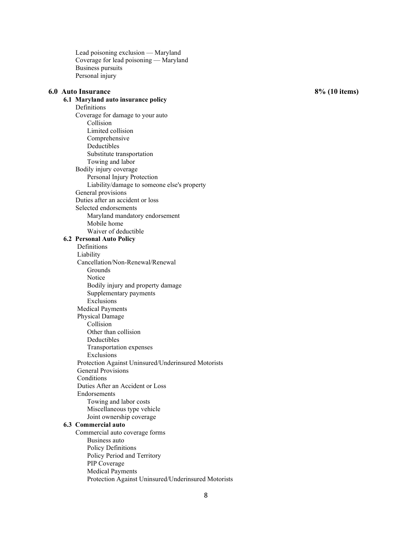Lead poisoning exclusion — Maryland Coverage for lead poisoning — Maryland Business pursuits Personal injury

## 6.0 Auto Insurance 8% (10 items)

6.1 Maryland auto insurance policy Definitions Coverage for damage to your auto Collision Limited collision Comprehensive Deductibles Substitute transportation Towing and labor Bodily injury coverage Personal Injury Protection Liability/damage to someone else's property General provisions Duties after an accident or loss Selected endorsements Maryland mandatory endorsement Mobile home Waiver of deductible 6.2 Personal Auto Policy Definitions Liability Cancellation/Non-Renewal/Renewal Grounds Notice Bodily injury and property damage Supplementary payments Exclusions Medical Payments Physical Damage Collision Other than collision Deductibles Transportation expenses Exclusions Protection Against Uninsured/Underinsured Motorists General Provisions Conditions Duties After an Accident or Loss Endorsements Towing and labor costs Miscellaneous type vehicle Joint ownership coverage 6.3 Commercial auto Commercial auto coverage forms Business auto Policy Definitions Policy Period and Territory

Protection Against Uninsured/Underinsured Motorists

PIP Coverage Medical Payments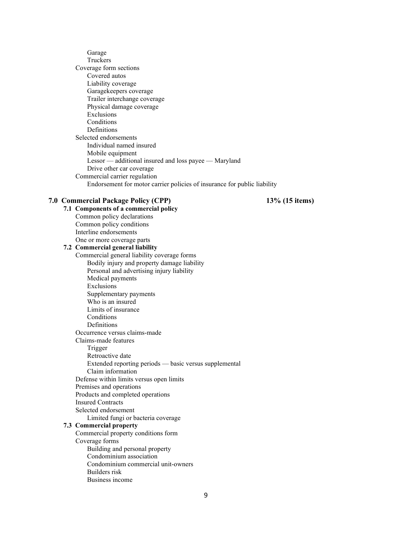Garage Truckers Coverage form sections Covered autos Liability coverage Garagekeepers coverage Trailer interchange coverage Physical damage coverage Exclusions Conditions Definitions Selected endorsements Individual named insured Mobile equipment Lessor — additional insured and loss payee — Maryland Drive other car coverage Commercial carrier regulation Endorsement for motor carrier policies of insurance for public liability

#### 7.0 Commercial Package Policy (CPP) 13% (15 items)

7.1 Components of a commercial policy Common policy declarations Common policy conditions Interline endorsements One or more coverage parts 7.2 Commercial general liability Commercial general liability coverage forms Bodily injury and property damage liability Personal and advertising injury liability Medical payments Exclusions Supplementary payments Who is an insured Limits of insurance Conditions Definitions Occurrence versus claims-made Claims-made features Trigger Retroactive date Extended reporting periods — basic versus supplemental Claim information Defense within limits versus open limits Premises and operations Products and completed operations Insured Contracts Selected endorsement Limited fungi or bacteria coverage 7.3 Commercial property Commercial property conditions form Coverage forms Building and personal property Condominium association Condominium commercial unit-owners Builders risk Business income

9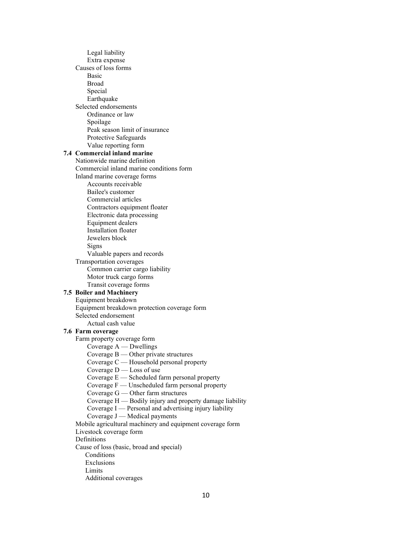Legal liability Extra expense Causes of loss forms Basic Broad Special Earthquake Selected endorsements Ordinance or law Spoilage Peak season limit of insurance Protective Safeguards Value reporting form 7.4 Commercial inland marine Nationwide marine definition Commercial inland marine conditions form Inland marine coverage forms Accounts receivable Bailee's customer Commercial articles Contractors equipment floater Electronic data processing Equipment dealers Installation floater Jewelers block Signs Valuable papers and records Transportation coverages Common carrier cargo liability Motor truck cargo forms Transit coverage forms 7.5 Boiler and Machinery Equipment breakdown Equipment breakdown protection coverage form Selected endorsement Actual cash value 7.6 Farm coverage Farm property coverage form Coverage A — Dwellings Coverage B — Other private structures Coverage C — Household personal property Coverage D — Loss of use Coverage E — Scheduled farm personal property Coverage F — Unscheduled farm personal property Coverage G — Other farm structures Coverage H — Bodily injury and property damage liability Coverage I — Personal and advertising injury liability Coverage J — Medical payments Mobile agricultural machinery and equipment coverage form Livestock coverage form Definitions Cause of loss (basic, broad and special) Conditions Exclusions Limits Additional coverages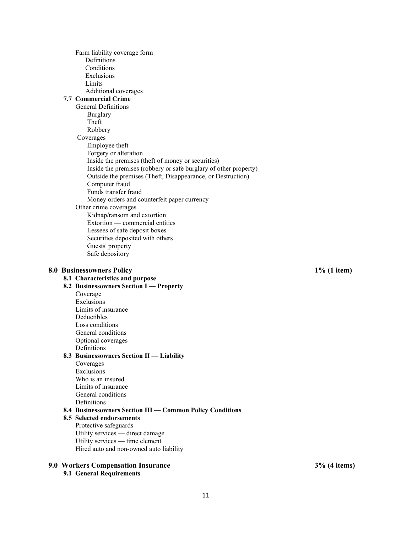Farm liability coverage form Definitions Conditions Exclusions Limits Additional coverages 7.7 Commercial Crime General Definitions Burglary Theft Robbery Coverages Employee theft Forgery or alteration Inside the premises (theft of money or securities) Inside the premises (robbery or safe burglary of other property) Outside the premises (Theft, Disappearance, or Destruction) Computer fraud Funds transfer fraud Money orders and counterfeit paper currency Other crime coverages Kidnap/ransom and extortion Extortion — commercial entities Lessees of safe deposit boxes Securities deposited with others Guests' property Safe depository

#### 8.0 Businessowners Policy **1% (1** item)

# 8.1 Characteristics and purpose

8.2 Businessowners Section I — Property Coverage Exclusions Limits of insurance Deductibles Loss conditions General conditions Optional coverages Definitions 8.3 Businessowners Section II — Liability Coverages Exclusions Who is an insured Limits of insurance General conditions **Definitions** 8.4 Businessowners Section III — Common Policy Conditions

8.5 Selected endorsements Protective safeguards Utility services — direct damage Utility services — time element Hired auto and non-owned auto liability

#### 9.0 Workers Compensation Insurance 3% (4 items)

9.1 General Requirements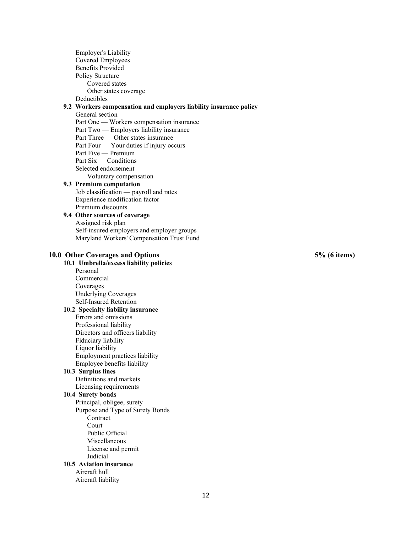Employer's Liability Covered Employees Benefits Provided Policy Structure Covered states Other states coverage Deductibles 9.2 Workers compensation and employers liability insurance policy General section Part One — Workers compensation insurance Part Two — Employers liability insurance Part Three — Other states insurance Part Four — Your duties if injury occurs Part Five — Premium Part Six — Conditions Selected endorsement Voluntary compensation 9.3 Premium computation Job classification — payroll and rates Experience modification factor Premium discounts 9.4 Other sources of coverage Assigned risk plan Self-insured employers and employer groups Maryland Workers' Compensation Trust Fund 10.0 Other Coverages and Options 5% (6 items) 10.1 Umbrella/excess liability policies Personal Commercial Coverages Underlying Coverages Self-Insured Retention 10.2 Specialty liability insurance Errors and omissions Professional liability Directors and officers liability Fiduciary liability Liquor liability Employment practices liability Employee benefits liability 10.3 Surplus lines Definitions and markets Licensing requirements 10.4 Surety bonds Principal, obligee, surety Purpose and Type of Surety Bonds Contract Court Public Official Miscellaneous License and permit Judicial 10.5 Aviation insurance Aircraft hull Aircraft liability